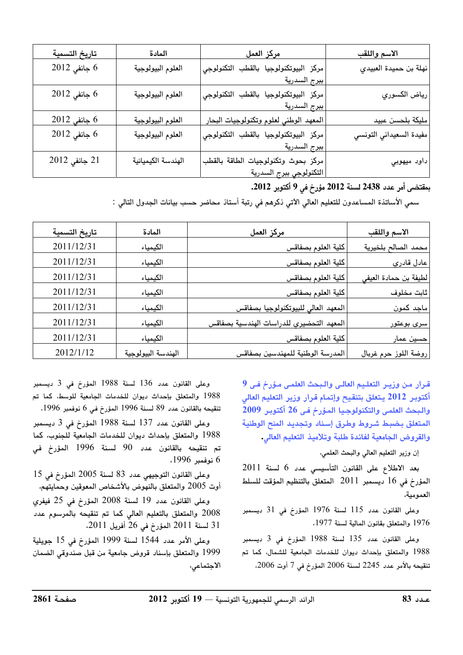| تاريخ التسمية     | المادة             | <u>مركز العمل</u>                      | الاسم واللقب            |
|-------------------|--------------------|----------------------------------------|-------------------------|
| 6 جانفى 2012      | العلوم البيولوجية  | مركز البيوتكنولوجيا بالقطب التكنولوجي  | نهلة بن حميدة العبيدي   |
|                   |                    | ببرج السدرية                           |                         |
| $2012$ جانفی 2012 | العلوم البيولوجية  | مركز البيوتكنولوجيا بالقطب التكنولوجي  | رياض الكسوري            |
|                   |                    | ببرج السدرية                           |                         |
| 0 جانفي 2012      | العلوم البيولوجية  | المعهد الوطني لعلوم وتكنولوجيات البحار | مليكة بلحسن عبيد        |
| 6 جانفي 2012      | العلوم البيولوجية  | مركز البيوتكنولوجيا بالقطب التكنولوجي  | مفيدة السعيداني التونسي |
|                   |                    | ببرج السدرية                           |                         |
| 21 جانفي 2012     | الهندسة الكيميائية | مركز بحوث وتكنولوجيات الطاقة بالقطب    | داود ميهوبي             |
|                   |                    | التكنولوجي ببرج السدرية                |                         |

بمقتضى أمر عدد 2438 لسنة 2012 مؤرخ في 9 أكتوبر 2012.

سمي الأساتذة المساعدون للتعليم العالي الآتي ذكرهم في رتبة أستاذ محاضر حسب بيانات الجدول التالى :

| تاريخ التسمية | المادة             | مركز العمل                               | الاسم واللقب          |
|---------------|--------------------|------------------------------------------|-----------------------|
| 2011/12/31    | الكيمياء           | كلية العلوم بصفاقس                       | محمد الصالح بلخيرية   |
| 2011/12/31    | الكيمياء           | كلية العلوم بصفاقس                       | عادل قادري            |
| 2011/12/31    | الكيمياء           | كلية العلوم بصفاقس                       | لطيفة بن حمادة العيفى |
| 2011/12/31    | الكيمياء           | كلية العلوم بصفاقس                       | ثابت مخلوف            |
| 2011/12/31    | الكيمياء           | المعهد العالى للبيوتكنولوجيا بصفاقس      | ماجد كمون             |
| 2011/12/31    | الكيمياء           | المعهد التحضيرى للدراسات الهندسية بصفاقس | سرى بوعتور            |
| 2011/12/31    | الكيمياء           | كلية العلوم بصفاقس                       | حسين عمار             |
| 2012/1/12     | الهندسة البيولوجية | المدرسة الوطنية للمهندسين بصفاقس         | روضة اللوز حرم غربال  |

قـرار مـن وزيـر التعلـيم العالـى والـبحث العلمـى مـؤرخ فـى 9 أكتوبر 2012 يتعلق بتنقيح وإتمام قرار وزير التعليم العالى والبحث العلمي والتكنولوجيا المؤرخ في 26 أكتوبر 2009 المتعلق بضبط شروط وطرق إسناد وتجديد المنح الوطنية والقروض الجامعية لفائدة طلبة وتلاميذ التعليم العالى.

إن وزير التعليم العالي والبحث العلمي،

بعد الاطلاع على القانون التأسيسي عدد 6 لسنة 2011 المؤرخ في 16 ديسمبر 2011 المتعلق بالتنظيم المؤقت للسلط العمومية،

وعلى القانون عدد 115 لسنة 1976 المؤرخ في 31 ديسمبر 1976 والمتعلق بقانون المالية لسنة 1977.

وعلى القانون عدد 135 لسنة 1988 المؤرخ في 3 ديسمبر 1988 والمتعلق بإحداث ديوان للخدمات الجامعية للشمال، كما تم تنقيحه بالأمر عدد 2245 لسنة 2006 المؤرخ في 7 أوت 2006،

وعلى القانون عدد 136 لسنة 1988 المؤرخ في 3 ديسمبر 1988 والمتعلق بإحداث ديوان للخدمات الجامعية للوسط، كما تم تنقيحه بالقانون عدد 89 لسنة 1996 المؤرخ في 6 نوفمبر 1996،

وعلى القانون عدد 137 لسنة 1988 المؤرخ في 3 ديسمبر 1988 والمتعلق بإحداث ديوان للخدمات الجامعية للجنوب، كما تم تنقيحه بالقانون عدد 90 لسنة 1996 المؤرخ في 6 نوفمبر 1996،

وعلى القانون التوجيهي عدد 83 لسنة 2005 المؤرخ في 15 أوت 2005 والمتعلق بالنهوض بالأشخاص المعوقين وحمايتهم،

وعلى القانون عدد 19 لسنة 2008 المؤرخ في 25 فيفرى 2008 والمتعلق بالتعليم العالى كما تم تنقيحه بالمرسوم عدد 31 لسنة 2011 المؤرخ في 26 أفريل 2011.

وعلى الأمر عدد 1544 لسنة 1999 المؤرخ في 15 جويلية 1999 والمتعلق بإسناد قروض جامعية من قبل صندوقي الضمان الاجتماعى،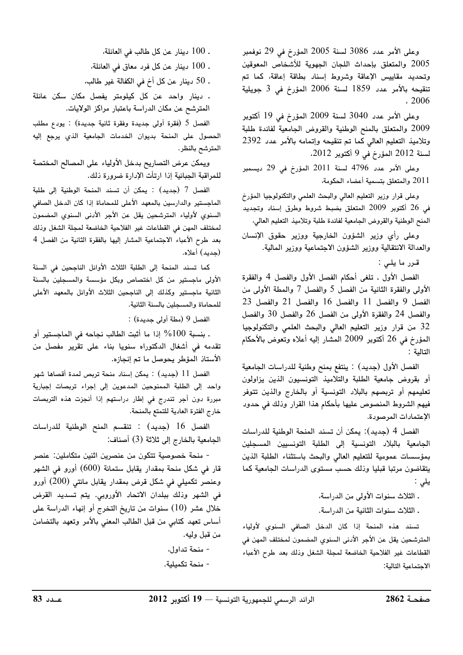وعلى الأمر عدد 3086 لسنة 2005 المؤرخ في 29 نوفمبر 2005 والمتعلق بإحداث اللجان الجهوية للأشخاص المعوقين وتحديد مقاييس الإعاقة وشروط إسناد بطاقة إعاقة، كما تم تنقيحه بالأمر عدد 1859 لسنة 2006 المؤرخ في 3 جويلية  $.2006$ 

وعلى الأمر عدد 3040 لسنة 2009 المؤرخ في 19 أكتوبر 2009 والمتعلق بالمنح الوطنية والقروض الجامعية لفائدة طلبة وتلاميذ التعليم العالى كما تم تنقيحه وإتمامه بالأمر عدد 2392 لسنة 2012 المؤرخ في 9 أكتوبر 2012.

وعلى الأمر عدد 4796 لسنة 2011 المؤرخ في 29 ديسمبر 2011 والمتعلق بتسمية أعضاء الحكومة،

وعلى قرار وزير التعليم العالي والبحث العلمي والتكنولوجيا المؤرخ في 26 أكتوبر 2009 المتعلق بضبط شروط وطرق إسناد وتجديد المنح الوطنية والقروض الجامعية لفائدة طلبة وتلاميذ التعليم العالي،

وعلى رأى وزير الشؤون الخارجية ووزير حقوق الإنسان والعدالة الانتقالية ووزير الشؤون الاجتماعية ووزير المالية.

قىرر ما يلى :

الفصل الأول . تلغى أحكام الفصل الأول والفصل 4 والفقرة الأولى والفقرة الثانية من الفصل 5 والفصل 7 والمطة الأولى من الفصل 9 والفصل 11 والفصل 16 والفصل 21 والفصل 23 والفصل 24 والفقرة الأولى من الفصل 26 والفصل 30 والفصل 32 من قرار وزير التعليم العالى والبحث العلمى والتكنولوجيا المؤرخ في 26 أكتوبر 2009 المشار إليه أعلاه وتعوض بالأحكام التالية :

الفصل الأول (جديد) : ينتفع بمنح وطنية للدراسات الجامعية أو بقروض جامعية الطلبة والتلاميذ التونسيون الذين يزاولون تعليمهم أو تربصهم بالبلاد التونسية أو بالخارج والذين تتوفر فيهم الشروط المنصوص عليها بأحكام هذا القرار وذلك في حدود الإعتمادات المرصودة.

الفصل 4 (جديد): يمكن أن تسند المنحة الوطنية للدراسات الجامعية بالبلاد التونسية إلى الطلبة التونسيين المسجلين بمؤسسات عمومية للتعليم العالى والبحث باستثناء الطلبة الذين يتقاضون مرتبا قبليا وذلك حسب مستوى الدراسات الجامعية كما يلى :

ـ الثلاث سنوات الأولى من الدراسة،

ـ الثلاث سنوات الثانية من الدراسة.

تسند هذه المنحة إذا كان الدخل الصافى السنوى لأولياء المترشحين يقل عن الأجر الأدنى السنوي المضمون لمختلف المهن فى القطاعات غير الفلاحية الخاضعة لمجلة الشغل وذلك بعد طرح الأعباء الاجتماعية التالية:

. 100 دينار عن كل طالب في العائلة، . 100 دينار عن كل فرد معاق في العائلة، . 50 دينار عن كل أخ في الكفالة غير طالب، . دينار واحد عن كل كيلومتر يفصل مكان سكن عائلة

الفصل 5 (فقرة أولى جديدة وفقرة ثانية جديدة) : يودع مطلب الحصول على المنحة بديوان الخدمات الجامعية الذي يرجع إليه المترشح بالنظر.

المترشح عن مكان الدراسة باعتبار مراكز الولايات.

ويمكن عرض التصاريح بدخل الأولياء على المصالح المختصة للمراقبة الجبائية إذا ارتأت الإدارة ضرورة ذلك.

الفصل 7 (جديد) : يمكن أن تسند المنحة الوطنية إلى طلبة الماجستير والدارسين بالمعهد الأعلى للمحاماة إذا كان الدخل الصافى السنوى لأولياء المترشحين يقل عن الأجر الأدنى السنوى المضمون لمختلف المهن في القطاعات غير الفلاحية الخاضعة لمجلة الشغل وذلك بعد طرح الأعباء الاجتماعية المشار إليها بالفقرة الثانية من الفصل 4 (حديد) أعلاه.

كما تسند المنحة إلى الطلبة الثلاث الأوائل الناجحين في السنة الأولى ماجستير من كل اختصاص وبكل مؤسسة والمسجلين بالسنة الثانية ماجستير وكذلك إلى الناجحين الثلاث الأوائل بالمعهد الأعلى للمحاماة والمسجلين بالسنة الثانية.

الفصل 9 (مطة أولى جديدة) :

. بنسبة 100% إذا ما أثبت الطالب نجاحه في الماجستير أو تقدمه فى أشغال الدكتوراه سنويا بناء على تقرير مفصل من الأستاذ المؤطر يحوصل ما تم إنجازه.

الفصل 11 (جديد) : يمكن إسناد منحة تربص لمدة أقصاها شهر واحد إلى الطلبة الممنوحين المدعوين إلى إجراء تربصات إجبارية مبررة دون أجر تندرج في إطار دراستهم إذا أنجزت هذه التربصات خارج الفترة العادية للتمتع بالمنحة.

الفصل 16 (جديد) : تنقسم المنح الوطنية للدراسات الجامعية بالخارج إلى ثلاثة (3) أصناف:

- منحة خصوصية تتكون من عنصرين اثنين متكاملين: عنصر قار في شكل منحة بمقدار يقابل ستمائة (600) أورو في الشهر وعنصر تكميلي في شكل قرض بمقدار يقابل مائتي (200) أورو في الشهر وذلك ببلدان الاتحاد الأوروبي. يتم تسديد القرض خلال عشر (10) سنوات من تاريخ التخرج أو إنهاء الدراسة على أساس تعهد كتابي من قبل الطالب المعنى بالأمر وتعهد بالتضامن من قبل وليه.

> - منحة تداول، - منحة تكميلية.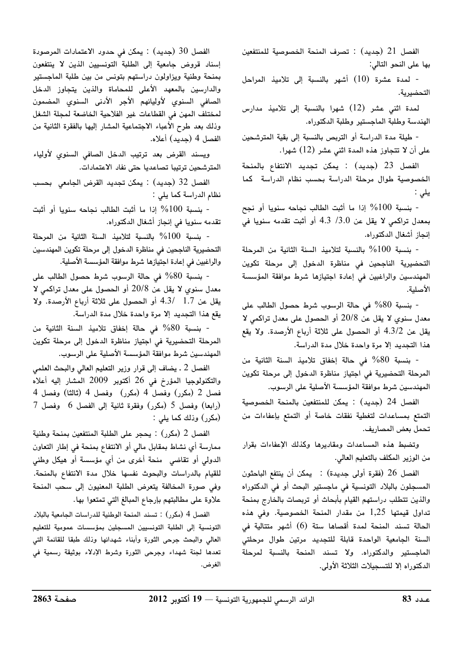الفصل 21 (جديد) : تصرف المنحة الخصوصية للمنتفعين بها على النحو التالي:

- لمدة عشرة (10) أشهر بالنسبة إلى تلاميذ المراحل التحضيرية.

لمدة اثني عشر (12) شهرا بالنسبة إلى تلاميذ مدارس الهندسة وطلبة الماجستير وطلبة الدكتوراه.

- طيلة مدة الدراسة أو التربص بالنسبة إلى بقية المترشحين على أن لا تتجاوز هذه المدة اثنى عشر (12) شهرا.

الفصل 23 (جديد) : يمكن تجديد الانتفاع بالمنحة الخصوصية طوال مرحلة الدراسة بحسب نظام الدراسة كما يلى :

- بنسبة 100% إذا ما أثبت الطالب نجاحه سنويا أو نجح بمعدل تراكمي لا يقل عن 3.0/ 4.3 أو أثبت تقدمه سنويا في إنجاز أشغال الدكتوراه.

- بنسبة 100% بالنسبة لتلاميذ السنة الثانية من المرحلة التحضيرية الناجحين في مناظرة الدخول إلى مرحلة تكوين المهندسين والراغبين فى إعادة اجتيازها شرط موافقة المؤسسة الأصلية.

- بنسبة 80% في حالة الرسوب شرط حصول الطالب على معدل سنوى لا يقل عن 20/8 أو الحصول على معدل تراكمي لا يقل عن 4.3/2 أو الحصول على ثلاثة أرباع الأرصدة. ولا يقع هذا التجديد إلا مرة واحدة خلال مدة الدراسة.

- بنسبة 80% في حالة إخفاق تلاميذ السنة الثانية من المرحلة التحضيرية في اجتياز مناظرة الدخول إلى مرحلة تكوين المهندسين شرط موافقة المؤسسة الأصلية على الرسوب.

الفصل 24 (جديد) : يمكن للمنتفعين بالمنحة الخصوصية التمتع بمساعدات لتغطية نفقات خاصة أو التمتع بإعفاءات من تحمل بعض المصاريف.

وتضبط هذه المساعدات ومقاديرها وكذلك الإعفاءات بقرار من الوزير المكلف بالتعليم العالي.

الفصل 26 (فقرة أولى جديدة) : يمكن أن ينتفع الباحثون المسجلون بالبلاد التونسية في ماجستير البحث أو في الدكتوراه والذين تتطلب دراستهم القيام بأبحاث أو تربصات بالخارج بمنحة تداول قيمتها 1,25 من مقدار المنحة الخصوصية. وفى هذه الحالة تسند المنحة لمدة أقصاها ستة (6) أشهر متتالية فى السنة الجامعية الواحدة قابلة للتجديد مرتين طوال مرحلتى الماجستير والدكتوراه. ولا تسند المنحة بالنسبة لمرحلة الدكتوراه إلا للتسجيلات الثلاثة الأولى.

الفصل 30 (جديد) : يمكن في حدود الاعتمادات المرصودة إسناد قروض جامعية إلى الطلبة التونسيين الذين لا ينتفعون بمنحة وطنية ويزاولون دراستهم بتونس من بين طلبة الماجستير والدارسين بالمعهد الأعلى للمحاماة والذين يتجاوز الدخل الصافى السنوي لأوليائهم الأجر الأدنى السنوي المضمون لمختلف المهن في القطاعات غير الفلاحية الخاضعة لمجلة الشغل وذلك بعد طرح الأعباء الاجتماعية المشار إليها بالفقرة الثانية من الفصل 4 (جديد) أعلاه.

ويسند القرض بعد ترتيب الدخل الصافى السنوى لأولياء المترشحين ترتيبا تصاعديا حتى نفاد الاعتمادات.

الفصل 32 (جديد) : يمكن تجديد القرض الجامعي بحسب نظام الدراسة كما يلي :

- بنسبة 100% إذا ما أثبت الطالب نجاحه سنويا أو أثبت تقدمه سنويا في إنجاز أشغال الدكتوراه.

- بنسبة 100% بالنسبة لتلاميذ السنة الثانية من المرحلة التحضيرية الناجحين في مناظرة الدخول إلى مرحلة تكوين المهندسين والراغبين في إعادة اجتيازها شرط موافقة المؤسسة الأصلية.

- بنسبة 80% في حالة الرسوب شرط حصول الطالب على معدل سنوى لا يقل عن 20/8 أو الحصول على معدل تراكمي لا يقل عن 1.7 /4.3 أو الحصول على ثلاثة أرباع الأرصدة. ولا يقع هذا التجديد إلا مرة واحدة خلال مدة الدراسة.

- بنسبة 80% في حالة إخفاق تلاميذ السنة الثانية من المرحلة التحضيرية في اجتياز مناظرة الدخول إلى مرحلة تكوين المهندسين شرط موافقة المؤسسة الأصلية على الرسوب.

الفصل 2 ـ يضاف إلى قرار وزير التعليم العالى والبحث العلمى والتكنولوجيا المؤرخ فى 26 أكتوبر 2009 المشار إليه أعلاه فصل 2 (مكرر) وفصل 4 (مكرر) وفصل 4 (ثالثا) وفصل 4  $7$  (رابعا) وفصل 5 (مكرر) وفقرة ثانية إلى الفصل 6 وفصل $($ (مكرر) وذلك كما يلي :

الفصل 2 (مكرر) : يحجر على الطلبة المنتفعين بمنحة وطنية ممارسة أى نشاط بمقابل مالى أو الانتفاع بمنحة فى إطار التعاون الدولي أو تقاضي منحة أخرى من أي مؤسسة أو هيكل وطني للقيام بالدراسات والبحوث نفسها خلال مدة الانتفاع بالمنحة. وفي صورة المخالفة يتعرض الطلبة المعنيون إلى سحب المنحة علاوة على مطالبتهم بإرجاع المبالغ التي تمتعوا بها.

الفصل 4 (مكرر) : تسند المنحة الوطنية للدراسات الجامعية بالبلاد التونسية إلى الطلبة التونسيين المسجلين بمؤسسات عمومية للتعليم العالى والبحث جرحى الثورة وأبناء شهدائها وذلك طبقا للقائمة التى تعدها لجنة شهداء وجرحى الثورة وشرط الإدلاء بوثيقة رسمية في الغرض.